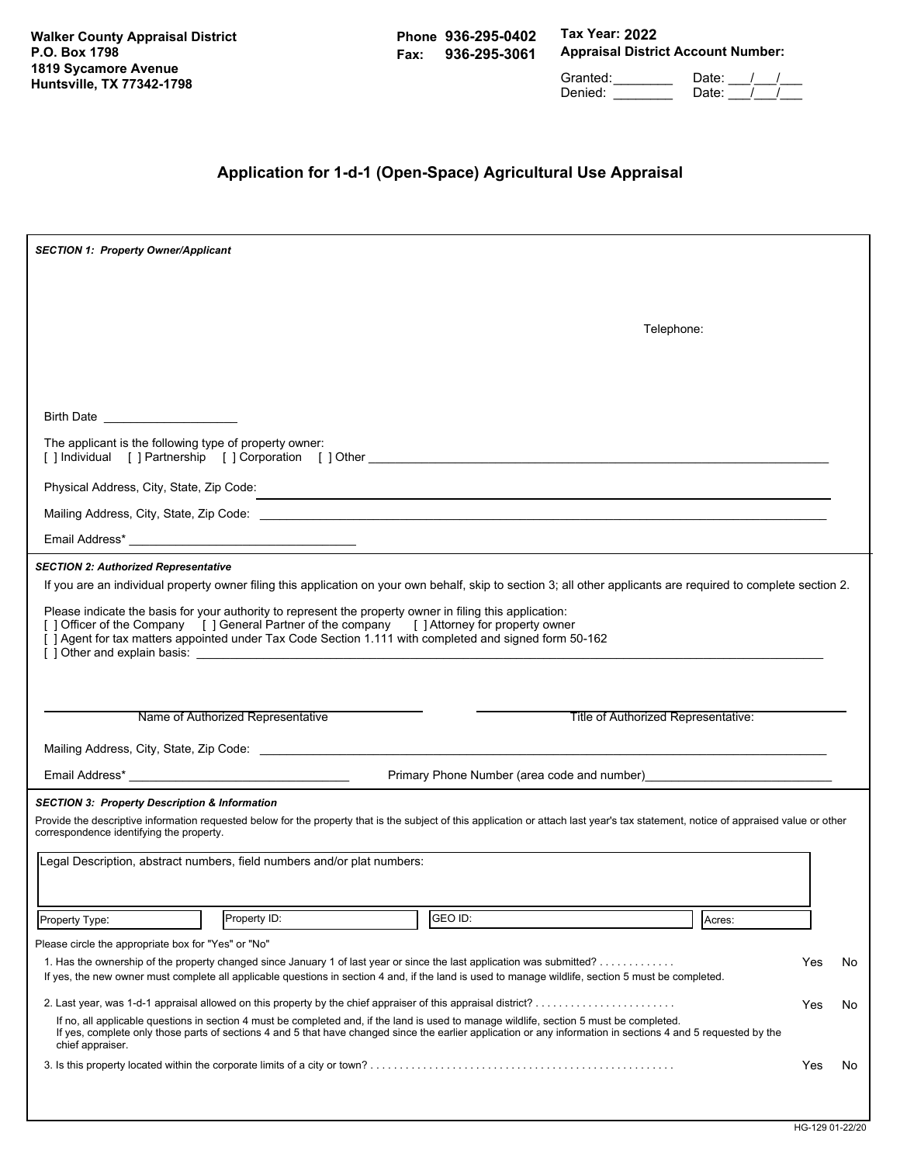**Walker County Appraisal District P.O. Box 1798 1819 Sycamore Avenue Huntsville, TX 77342-1798**

**Phone 936-295-0402 Fax: 936-295-3061** **Tax Year: 2022 Appraisal District Account Number:**

Granted: \_\_\_\_\_\_\_\_ Date: \_\_\_/\_\_\_/\_\_\_ Denied: \_\_\_\_\_\_\_\_\_\_ Date: \_\_\_/ \_\_/

# **Application for 1-d-1 (Open-Space) Agricultural Use Appraisal**

| <b>SECTION 1: Property Owner/Applicant</b>                                                                                                                                                                                                                                                                                                                                                                                                                                                                                           |     |     |
|--------------------------------------------------------------------------------------------------------------------------------------------------------------------------------------------------------------------------------------------------------------------------------------------------------------------------------------------------------------------------------------------------------------------------------------------------------------------------------------------------------------------------------------|-----|-----|
|                                                                                                                                                                                                                                                                                                                                                                                                                                                                                                                                      |     |     |
| Telephone:                                                                                                                                                                                                                                                                                                                                                                                                                                                                                                                           |     |     |
|                                                                                                                                                                                                                                                                                                                                                                                                                                                                                                                                      |     |     |
|                                                                                                                                                                                                                                                                                                                                                                                                                                                                                                                                      |     |     |
| Birth Date _______________________                                                                                                                                                                                                                                                                                                                                                                                                                                                                                                   |     |     |
| The applicant is the following type of property owner:<br>[] Individual [] Partnership [] Corporation [] Other the contract of the contract of the contract of the contract of the contract of the contract of the contract of the contract of the contract of the contract of the contr                                                                                                                                                                                                                                             |     |     |
| Physical Address, City, State, Zip Code:<br>,我们也不会有什么。""我们的人,我们也不会有什么?""我们的人,我们也不会有什么?""我们的人,我们也不会有什么?""我们的人,我们也不会有什么?""我们的人                                                                                                                                                                                                                                                                                                                                                                                                         |     |     |
|                                                                                                                                                                                                                                                                                                                                                                                                                                                                                                                                      |     |     |
|                                                                                                                                                                                                                                                                                                                                                                                                                                                                                                                                      |     |     |
| <b>SECTION 2: Authorized Representative</b><br>If you are an individual property owner filing this application on your own behalf, skip to section 3; all other applicants are required to complete section 2.<br>Please indicate the basis for your authority to represent the property owner in filing this application:<br>[ ] Officer of the Company [ ] General Partner of the company [ ] Attorney for property owner<br>[] Agent for tax matters appointed under Tax Code Section 1.111 with completed and signed form 50-162 |     |     |
| Title of Authorized Representative:<br>Name of Authorized Representative                                                                                                                                                                                                                                                                                                                                                                                                                                                             |     |     |
| Email Address* The Contract of Terms and Terms and Terms and Terms and Terms and Terms and Terms and Terms and<br>Primary Phone Number (area code and number) [2012] [2012] [2012] [2012] [2012] [2012] [2012] [2012] [2012] [20                                                                                                                                                                                                                                                                                                     |     |     |
| <b>SECTION 3: Property Description &amp; Information</b><br>Provide the descriptive information requested below for the property that is the subject of this application or attach last year's tax statement, notice of appraised value or other<br>correspondence identifying the property.<br>Legal Description, abstract numbers, field numbers and/or plat numbers:                                                                                                                                                              |     |     |
| GEO ID:<br>Property ID:<br>Property Type:<br>Acres:                                                                                                                                                                                                                                                                                                                                                                                                                                                                                  |     |     |
| Please circle the appropriate box for "Yes" or "No"<br>1. Has the ownership of the property changed since January 1 of last year or since the last application was submitted?<br>If yes, the new owner must complete all applicable questions in section 4 and, if the land is used to manage wildlife, section 5 must be completed.                                                                                                                                                                                                 | Yes | No  |
| 2. Last year, was 1-d-1 appraisal allowed on this property by the chief appraiser of this appraisal district?<br>If no, all applicable questions in section 4 must be completed and, if the land is used to manage wildlife, section 5 must be completed.<br>If yes, complete only those parts of sections 4 and 5 that have changed since the earlier application or any information in sections 4 and 5 requested by the<br>chief appraiser.                                                                                       | Yes | No  |
|                                                                                                                                                                                                                                                                                                                                                                                                                                                                                                                                      | Yes | No. |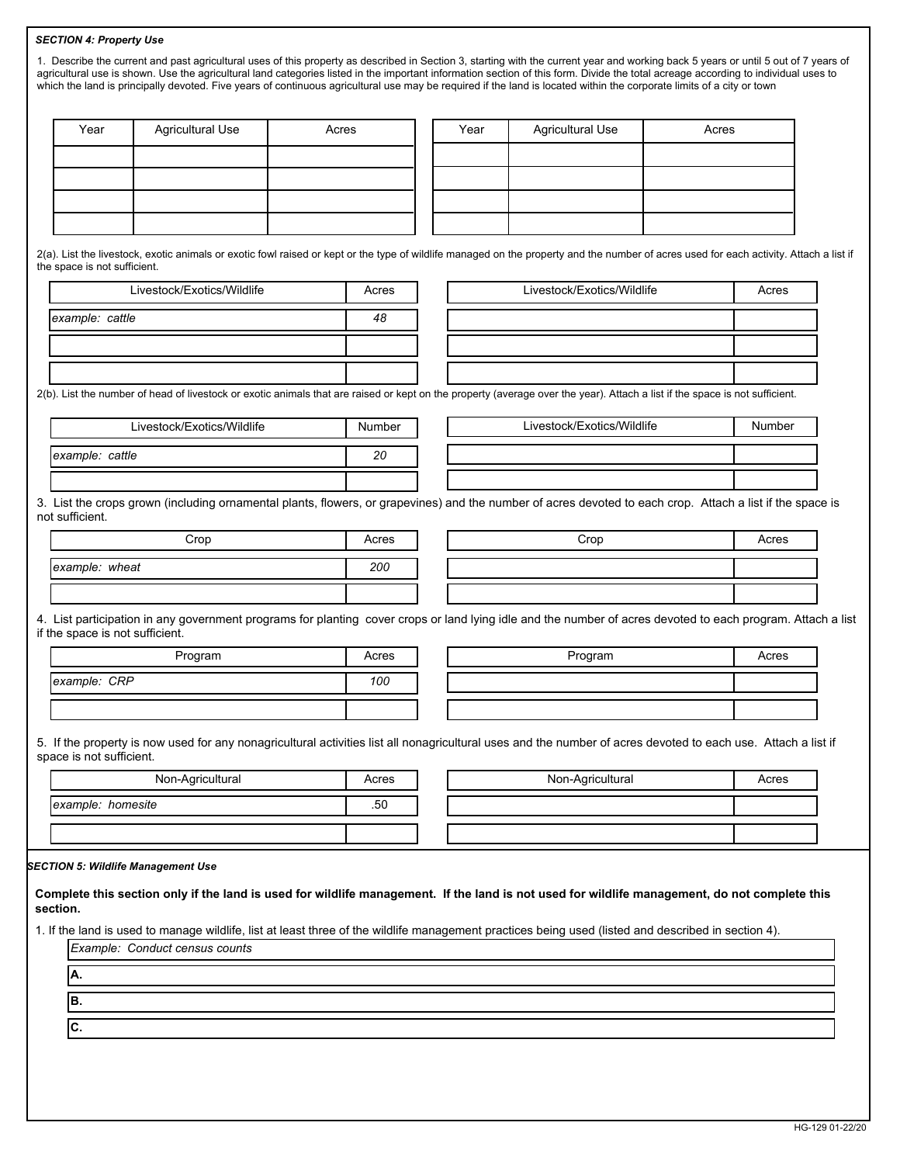## *SECTION 4: Property Use*

| Year                            | <b>Agricultural Use</b>    | Acres                                                                                                                                                                                   | Year | <b>Agricultural Use</b>    | Acres  |
|---------------------------------|----------------------------|-----------------------------------------------------------------------------------------------------------------------------------------------------------------------------------------|------|----------------------------|--------|
|                                 |                            |                                                                                                                                                                                         |      |                            |        |
|                                 |                            |                                                                                                                                                                                         |      |                            |        |
|                                 |                            |                                                                                                                                                                                         |      |                            |        |
|                                 |                            |                                                                                                                                                                                         |      |                            |        |
|                                 |                            |                                                                                                                                                                                         |      |                            |        |
| the space is not sufficient.    |                            | 2(a). List the livestock, exotic animals or exotic fowl raised or kept or the type of wildlife managed on the property and the number of acres used for each activity. Attach a list if |      |                            |        |
|                                 | Livestock/Exotics/Wildlife | Acres                                                                                                                                                                                   |      | Livestock/Exotics/Wildlife | Acres  |
| example: cattle                 |                            | 48                                                                                                                                                                                      |      |                            |        |
|                                 |                            |                                                                                                                                                                                         |      |                            |        |
|                                 |                            |                                                                                                                                                                                         |      |                            |        |
|                                 |                            | 2(b). List the number of head of livestock or exotic animals that are raised or kept on the property (average over the year). Attach a list if the space is not sufficient.             |      |                            |        |
|                                 | Livestock/Exotics/Wildlife | Number                                                                                                                                                                                  |      | Livestock/Exotics/Wildlife | Number |
| example: cattle                 |                            | 20                                                                                                                                                                                      |      |                            |        |
|                                 |                            |                                                                                                                                                                                         |      |                            |        |
| not sufficient.                 |                            | 3. List the crops grown (including ornamental plants, flowers, or grapevines) and the number of acres devoted to each crop. Attach a list if the space is                               |      |                            |        |
|                                 | Crop                       | Acres                                                                                                                                                                                   |      | Crop                       | Acres  |
| example: wheat                  |                            | 200                                                                                                                                                                                     |      |                            |        |
|                                 |                            |                                                                                                                                                                                         |      |                            |        |
| if the space is not sufficient. |                            | 4. List participation in any government programs for planting cover crops or land lying idle and the number of acres devoted to each program. Attach a list                             |      |                            |        |
|                                 | Program                    | Acres                                                                                                                                                                                   |      | Program                    | Acres  |
|                                 |                            |                                                                                                                                                                                         |      |                            |        |
|                                 |                            | 100                                                                                                                                                                                     |      |                            |        |
| example: CRP                    |                            |                                                                                                                                                                                         |      |                            |        |
|                                 |                            |                                                                                                                                                                                         |      |                            |        |
|                                 |                            | 5. If the property is now used for any nonagricultural activities list all nonagricultural uses and the number of acres devoted to each use. Attach a list if                           |      |                            |        |
| space is not sufficient.        | Non-Agricultural           | Acres                                                                                                                                                                                   |      | Non-Agricultural           | Acres  |
|                                 |                            |                                                                                                                                                                                         |      |                            |        |
| example: homesite               |                            | .50                                                                                                                                                                                     |      |                            |        |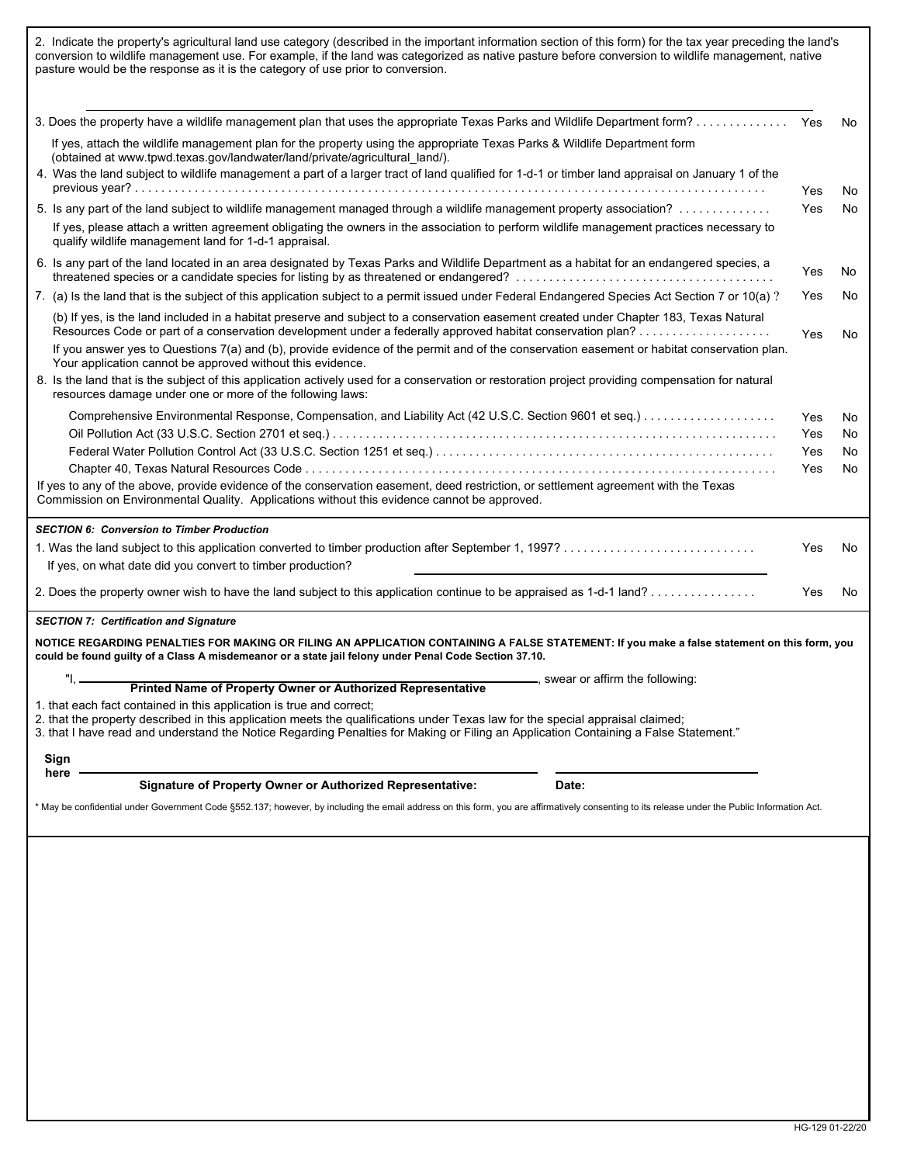| pasture would be the response as it is the category of use prior to conversion.                                                                                                                                                                                                                                                                | conversion to wildlife management use. For example, if the land was categorized as native pasture before conversion to wildlife management, native |           |  |  |  |
|------------------------------------------------------------------------------------------------------------------------------------------------------------------------------------------------------------------------------------------------------------------------------------------------------------------------------------------------|----------------------------------------------------------------------------------------------------------------------------------------------------|-----------|--|--|--|
|                                                                                                                                                                                                                                                                                                                                                |                                                                                                                                                    | No        |  |  |  |
| If yes, attach the wildlife management plan for the property using the appropriate Texas Parks & Wildlife Department form                                                                                                                                                                                                                      |                                                                                                                                                    |           |  |  |  |
| (obtained at www.tpwd.texas.gov/landwater/land/private/agricultural land/).<br>4. Was the land subject to wildlife management a part of a larger tract of land qualified for 1-d-1 or timber land appraisal on January 1 of the                                                                                                                | Yes                                                                                                                                                | No        |  |  |  |
| 5. Is any part of the land subject to wildlife management managed through a wildlife management property association?                                                                                                                                                                                                                          |                                                                                                                                                    |           |  |  |  |
| If yes, please attach a written agreement obligating the owners in the association to perform wildlife management practices necessary to<br>qualify wildlife management land for 1-d-1 appraisal.                                                                                                                                              | Yes                                                                                                                                                | No        |  |  |  |
| 6. Is any part of the land located in an area designated by Texas Parks and Wildlife Department as a habitat for an endangered species, a                                                                                                                                                                                                      | Yes                                                                                                                                                | No        |  |  |  |
| 7. (a) Is the land that is the subject of this application subject to a permit issued under Federal Endangered Species Act Section 7 or 10(a) ?                                                                                                                                                                                                | Yes                                                                                                                                                | No        |  |  |  |
| (b) If yes, is the land included in a habitat preserve and subject to a conservation easement created under Chapter 183, Texas Natural                                                                                                                                                                                                         |                                                                                                                                                    |           |  |  |  |
| If you answer yes to Questions 7(a) and (b), provide evidence of the permit and of the conservation easement or habitat conservation plan.<br>Your application cannot be approved without this evidence.                                                                                                                                       |                                                                                                                                                    |           |  |  |  |
| 8. Is the land that is the subject of this application actively used for a conservation or restoration project providing compensation for natural<br>resources damage under one or more of the following laws:                                                                                                                                 |                                                                                                                                                    |           |  |  |  |
|                                                                                                                                                                                                                                                                                                                                                | Yes                                                                                                                                                | No        |  |  |  |
|                                                                                                                                                                                                                                                                                                                                                | Yes                                                                                                                                                | No        |  |  |  |
|                                                                                                                                                                                                                                                                                                                                                | Yes                                                                                                                                                | No        |  |  |  |
|                                                                                                                                                                                                                                                                                                                                                | Yes                                                                                                                                                | No        |  |  |  |
| If yes to any of the above, provide evidence of the conservation easement, deed restriction, or settlement agreement with the Texas<br>Commission on Environmental Quality. Applications without this evidence cannot be approved.                                                                                                             |                                                                                                                                                    |           |  |  |  |
| <b>SECTION 6: Conversion to Timber Production</b>                                                                                                                                                                                                                                                                                              |                                                                                                                                                    |           |  |  |  |
| If yes, on what date did you convert to timber production?                                                                                                                                                                                                                                                                                     | Yes                                                                                                                                                | <b>No</b> |  |  |  |
|                                                                                                                                                                                                                                                                                                                                                | <b>Yes</b>                                                                                                                                         | No        |  |  |  |
|                                                                                                                                                                                                                                                                                                                                                |                                                                                                                                                    |           |  |  |  |
| <b>SECTION 7: Certification and Signature</b>                                                                                                                                                                                                                                                                                                  |                                                                                                                                                    |           |  |  |  |
| NOTICE REGARDING PENALTIES FOR MAKING OR FILING AN APPLICATION CONTAINING A FALSE STATEMENT: If you make a false statement on this form, you<br>could be found guilty of a Class A misdemeanor or a state jail felony under Penal Code Section 37.10.                                                                                          |                                                                                                                                                    |           |  |  |  |
| $"1, -$<br>swear or affirm the following:<br>Printed Name of Property Owner or Authorized Representative                                                                                                                                                                                                                                       |                                                                                                                                                    |           |  |  |  |
| 1. that each fact contained in this application is true and correct;<br>2. that the property described in this application meets the qualifications under Texas law for the special appraisal claimed;<br>3. that I have read and understand the Notice Regarding Penalties for Making or Filing an Application Containing a False Statement." |                                                                                                                                                    |           |  |  |  |
| Sign                                                                                                                                                                                                                                                                                                                                           |                                                                                                                                                    |           |  |  |  |
| here<br><b>Signature of Property Owner or Authorized Representative:</b><br>Date:                                                                                                                                                                                                                                                              |                                                                                                                                                    |           |  |  |  |
| * May be confidential under Government Code §552.137; however, by including the email address on this form, you are affirmatively consenting to its release under the Public Information Act.                                                                                                                                                  |                                                                                                                                                    |           |  |  |  |
|                                                                                                                                                                                                                                                                                                                                                |                                                                                                                                                    |           |  |  |  |
|                                                                                                                                                                                                                                                                                                                                                |                                                                                                                                                    |           |  |  |  |
|                                                                                                                                                                                                                                                                                                                                                |                                                                                                                                                    |           |  |  |  |
|                                                                                                                                                                                                                                                                                                                                                |                                                                                                                                                    |           |  |  |  |
|                                                                                                                                                                                                                                                                                                                                                |                                                                                                                                                    |           |  |  |  |
|                                                                                                                                                                                                                                                                                                                                                |                                                                                                                                                    |           |  |  |  |
|                                                                                                                                                                                                                                                                                                                                                |                                                                                                                                                    |           |  |  |  |
|                                                                                                                                                                                                                                                                                                                                                |                                                                                                                                                    |           |  |  |  |
|                                                                                                                                                                                                                                                                                                                                                |                                                                                                                                                    |           |  |  |  |
|                                                                                                                                                                                                                                                                                                                                                |                                                                                                                                                    |           |  |  |  |